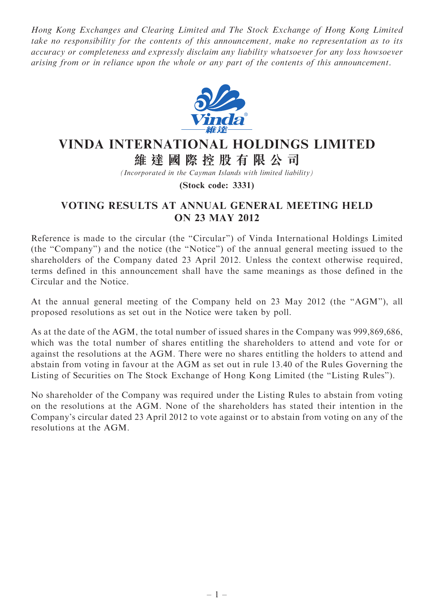Hong Kong Exchanges and Clearing Limited and The Stock Exchange of Hong Kong Limited take no responsibility for the contents of this announcement, make no representation as to its accuracy or completeness and expressly disclaim any liability whatsoever for any loss howsoever arising from or in reliance upon the whole or any part of the contents of this announcement.



## VINDA INTERNATIONAL HOLDINGS LIMITED 維 達 國 際 控 股 有 限 公 司

(Incorporated in the Cayman Islands with limited liability)

(Stock code: 3331)

## VOTING RESULTS AT ANNUAL GENERAL MEETING HELD ON 23 MAY 2012

Reference is made to the circular (the "Circular") of Vinda International Holdings Limited (the ''Company'') and the notice (the ''Notice'') of the annual general meeting issued to the shareholders of the Company dated 23 April 2012. Unless the context otherwise required, terms defined in this announcement shall have the same meanings as those defined in the Circular and the Notice.

At the annual general meeting of the Company held on 23 May 2012 (the ''AGM''), all proposed resolutions as set out in the Notice were taken by poll.

As at the date of the AGM, the total number of issued shares in the Company was 999,869,686, which was the total number of shares entitling the shareholders to attend and vote for or against the resolutions at the AGM. There were no shares entitling the holders to attend and abstain from voting in favour at the AGM as set out in rule 13.40 of the Rules Governing the Listing of Securities on The Stock Exchange of Hong Kong Limited (the ''Listing Rules'').

No shareholder of the Company was required under the Listing Rules to abstain from voting on the resolutions at the AGM. None of the shareholders has stated their intention in the Company's circular dated 23 April 2012 to vote against or to abstain from voting on any of the resolutions at the AGM.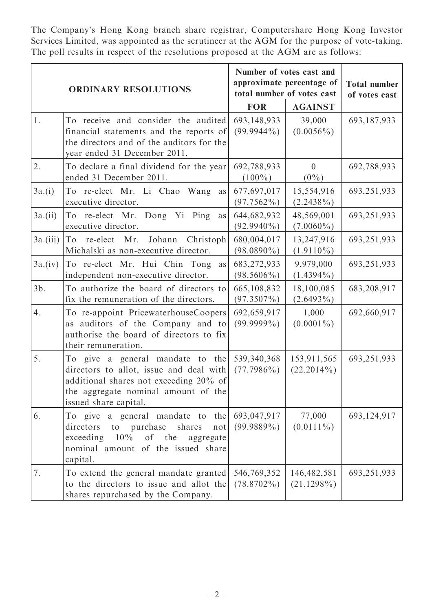The Company's Hong Kong branch share registrar, Computershare Hong Kong Investor Services Limited, was appointed as the scrutineer at the AGM for the purpose of vote-taking. The poll results in respect of the resolutions proposed at the AGM are as follows:

| <b>ORDINARY RESOLUTIONS</b> |                                                                                                                                                                                       | Number of votes cast and<br>approximate percentage of<br>total number of votes cast |                                | <b>Total number</b><br>of votes cast |
|-----------------------------|---------------------------------------------------------------------------------------------------------------------------------------------------------------------------------------|-------------------------------------------------------------------------------------|--------------------------------|--------------------------------------|
|                             |                                                                                                                                                                                       | <b>FOR</b>                                                                          | <b>AGAINST</b>                 |                                      |
| 1.                          | To receive and consider the audited<br>financial statements and the reports of<br>the directors and of the auditors for the<br>year ended 31 December 2011.                           | 693,148,933<br>$(99.9944\%)$                                                        | 39,000<br>$(0.0056\%)$         | 693,187,933                          |
| 2.                          | To declare a final dividend for the year<br>ended 31 December 2011.                                                                                                                   | 692,788,933<br>$(100\%)$                                                            | $\overline{0}$<br>$(0\%)$      | 692,788,933                          |
| 3a.(i)                      | To re-elect Mr. Li Chao Wang<br>as<br>executive director.                                                                                                                             | 677,697,017<br>$(97.7562\%)$                                                        | 15,554,916<br>$(2.2438\%)$     | 693,251,933                          |
| $3a$ .(ii)                  | re-elect Mr. Dong Yi Ping<br>To<br>as<br>executive director.                                                                                                                          | 644,682,932<br>$(92.9940\%)$                                                        | 48,569,001<br>$(7.0060\%)$     | 693,251,933                          |
| $3a$ .(iii)                 | re-elect Mr. Johann<br>Christoph<br>To<br>Michalski as non-executive director.                                                                                                        | 680,004,017<br>$(98.0890\%)$                                                        | 13,247,916<br>$(1.9110\%)$     | 693,251,933                          |
| 3a.(iv)                     | To re-elect Mr. Hui Chin Tong<br>as<br>independent non-executive director.                                                                                                            | 683,272,933<br>$(98.5606\%)$                                                        | 9,979,000<br>$(1.4394\%)$      | 693,251,933                          |
| $3b$ .                      | To authorize the board of directors to<br>fix the remuneration of the directors.                                                                                                      | 665,108,832<br>$(97.3507\%)$                                                        | 18,100,085<br>$(2.6493\%)$     | 683,208,917                          |
| 4.                          | To re-appoint PricewaterhouseCoopers<br>as auditors of the Company and to<br>authorise the board of directors to fix<br>their remuneration.                                           | 692,659,917<br>$(99.9999\%)$                                                        | 1,000<br>$(0.0001\%)$          | 692,660,917                          |
| 5.                          | To give a general mandate to the<br>directors to allot, issue and deal with<br>additional shares not exceeding 20% of<br>the aggregate nominal amount of the<br>issued share capital. | 539,340,368<br>$(77.7986\%)$                                                        | 153,911,565<br>$(22.2014\%)$   | 693,251,933                          |
| 6.                          | To give a general mandate to<br>the<br>to purchase<br>directors<br>shares<br>not<br>of the<br>exceeding<br>10%<br>aggregate<br>nominal amount of the issued share<br>capital.         | 693,047,917<br>$(99.9889\%)$                                                        | 77,000<br>$(0.0111\%)$         | 693,124,917                          |
| 7.                          | To extend the general mandate granted<br>to the directors to issue and allot the<br>shares repurchased by the Company.                                                                | 546,769,352<br>$(78.8702\%)$                                                        | 146, 482, 581<br>$(21.1298\%)$ | 693,251,933                          |